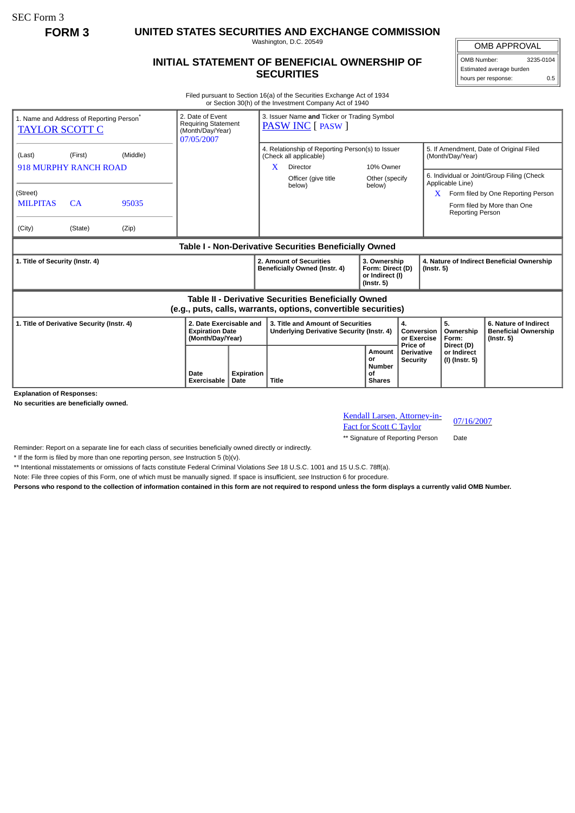SEC Form 3

**FORM 3 UNITED STATES SECURITIES AND EXCHANGE COMMISSION**

Washington, D.C. 20549

## **INITIAL STATEMENT OF BENEFICIAL OWNERSHIP OF SECURITIES**

OMB APPROVAL OMB Number: 3235-0104

Estimated average burden hours per response: 0.5

Filed pursuant to Section 16(a) of the Securities Exchange Act of 1934 or Section 30(h) of the Investment Company Act of 1940

| 1. Name and Address of Reporting Person <sup>®</sup><br><b>TAYLOR SCOTT C</b>                                                |           | 2. Date of Event<br><b>Requiring Statement</b><br>(Month/Day/Year)<br>07/05/2007 |                                                                       | 3. Issuer Name and Ticker or Trading Symbol<br><b>PASW INC</b> [ PASW ] |                                                                                             |                                                        |                                                                         |                                                  |                                                                |                                                                                                                                                                     |                                                                          |
|------------------------------------------------------------------------------------------------------------------------------|-----------|----------------------------------------------------------------------------------|-----------------------------------------------------------------------|-------------------------------------------------------------------------|---------------------------------------------------------------------------------------------|--------------------------------------------------------|-------------------------------------------------------------------------|--------------------------------------------------|----------------------------------------------------------------|---------------------------------------------------------------------------------------------------------------------------------------------------------------------|--------------------------------------------------------------------------|
| (Middle)<br>(Last)<br>(First)<br><b>918 MURPHY RANCH ROAD</b>                                                                |           |                                                                                  |                                                                       |                                                                         | 4. Relationship of Reporting Person(s) to Issuer<br>(Check all applicable)<br>X<br>Director |                                                        | 10% Owner                                                               |                                                  | 5. If Amendment, Date of Original Filed<br>(Month/Day/Year)    |                                                                                                                                                                     |                                                                          |
| (Street)<br><b>MILPITAS</b>                                                                                                  | <b>CA</b> | 95035                                                                            |                                                                       |                                                                         |                                                                                             | Officer (give title<br>below)                          | Other (specify<br>below)                                                |                                                  |                                                                | 6. Individual or Joint/Group Filing (Check<br>Applicable Line)<br>Form filed by One Reporting Person<br>X<br>Form filed by More than One<br><b>Reporting Person</b> |                                                                          |
| (City)                                                                                                                       | (State)   | (Zip)                                                                            |                                                                       |                                                                         |                                                                                             | Table I - Non-Derivative Securities Beneficially Owned |                                                                         |                                                  |                                                                |                                                                                                                                                                     |                                                                          |
| 1. Title of Security (Instr. 4)                                                                                              |           |                                                                                  |                                                                       |                                                                         | 2. Amount of Securities<br>Beneficially Owned (Instr. 4)                                    |                                                        | 3. Ownership<br>Form: Direct (D)<br>or Indirect (I)<br>$($ Instr. 5 $)$ |                                                  | 4. Nature of Indirect Beneficial Ownership<br>$($ Instr. 5 $)$ |                                                                                                                                                                     |                                                                          |
| <b>Table II - Derivative Securities Beneficially Owned</b><br>(e.g., puts, calls, warrants, options, convertible securities) |           |                                                                                  |                                                                       |                                                                         |                                                                                             |                                                        |                                                                         |                                                  |                                                                |                                                                                                                                                                     |                                                                          |
| 1. Title of Derivative Security (Instr. 4)                                                                                   |           |                                                                                  | 2. Date Exercisable and<br><b>Expiration Date</b><br>(Month/Day/Year) |                                                                         | 3. Title and Amount of Securities<br>Underlying Derivative Security (Instr. 4)              |                                                        |                                                                         | 4.<br>Conversion<br>or Exercise                  |                                                                | 5.<br>Ownership<br>Form:                                                                                                                                            | 6. Nature of Indirect<br><b>Beneficial Ownership</b><br>$($ lnstr. 5 $)$ |
|                                                                                                                              |           |                                                                                  | Date<br>Exercisable                                                   | Expiration<br>Date                                                      | <b>Title</b>                                                                                |                                                        | <b>Amount</b><br>or<br><b>Number</b><br>Ωf<br><b>Shares</b>             | Price of<br><b>Derivative</b><br><b>Security</b> |                                                                | Direct (D)<br>or Indirect<br>(I) (Instr. 5)                                                                                                                         |                                                                          |

**Explanation of Responses:**

**No securities are beneficially owned.**

Kendall Larsen, Attorney-in-**Exambre Example 12 September 18 Control C Taylor**<br>Fact for Scott C Taylor

\*\* Signature of Reporting Person Date

Reminder: Report on a separate line for each class of securities beneficially owned directly or indirectly.

\* If the form is filed by more than one reporting person, *see* Instruction 5 (b)(v).

\*\* Intentional misstatements or omissions of facts constitute Federal Criminal Violations *See* 18 U.S.C. 1001 and 15 U.S.C. 78ff(a).

Note: File three copies of this Form, one of which must be manually signed. If space is insufficient, *see* Instruction 6 for procedure.

**Persons who respond to the collection of information contained in this form are not required to respond unless the form displays a currently valid OMB Number.**